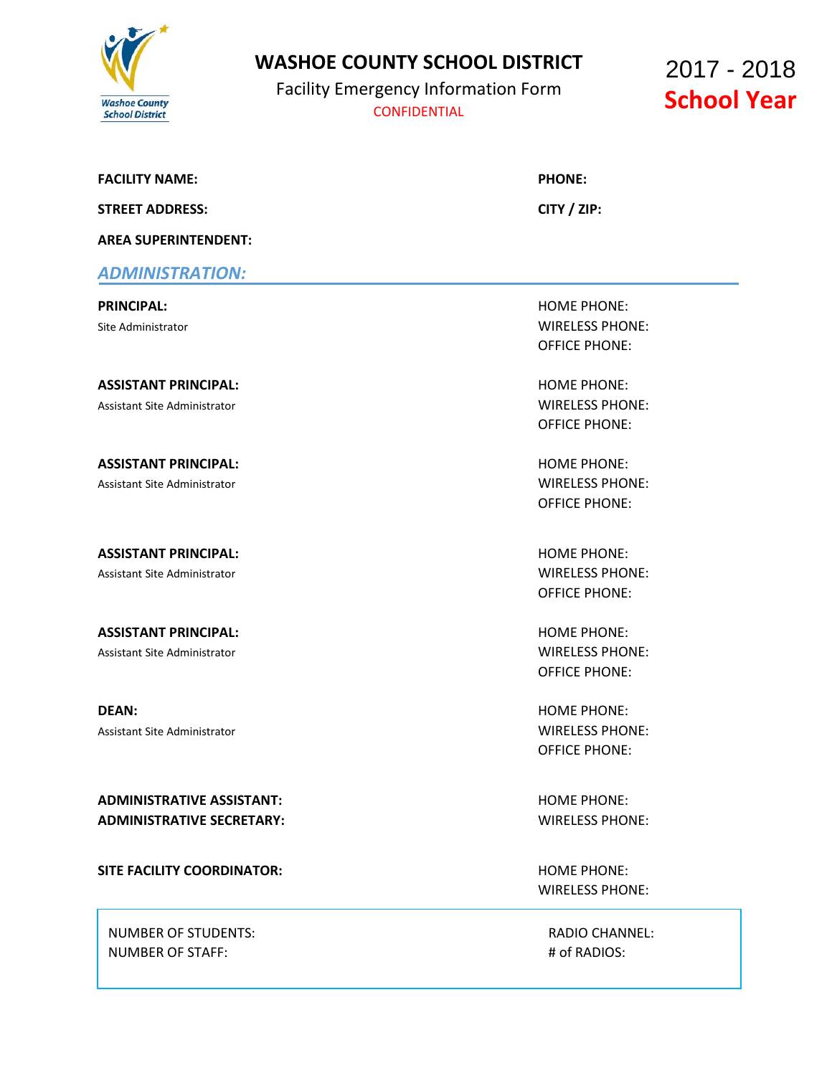

# **WASHOE COUNTY SCHOOL DISTRICT**

Facility Emergency Information Form **CONFIDENTIAL CONFIDENTIAL** 

2017 - 2018

### **FACILITY NAME: PHONE:**

**STREET ADDRESS: CITY / ZIP:**

**AREA SUPERINTENDENT:**

### *ADMINISTRATION:*

**ASSISTANT PRINCIPAL:** HOME PHONE: Assistant Site Administrator WIRELESS PHONE:

**ASSISTANT PRINCIPAL:** HOME PHONE: Assistant Site Administrator Number of Assistant Site Administrator Number 2012 19:30 Assistant Site Administrator

**ASSISTANT PRINCIPAL:** And the state of the state of the state of the state of the state of the state of the state of the state of the state of the state of the state of the state of the state of the state of the state of Assistant Site Administrator WIRELESS PHONE:

**ASSISTANT PRINCIPAL:** And the state of the state of the state of the state of the state of the state of the state of the state of the state of the state of the state of the state of the state of the state of the state of Assistant Site Administrator Number of Assistant Site Administrator Number 2012 19:30 Assistant Site Administrator

**DEAN:** HOME PHONE: Assistant Site Administrator WIRELESS PHONE:

**ADMINISTRATIVE ASSISTANT:** And the state of the state of the state of the state of the state of the state of the state of the state of the state of the state of the state of the state of the state of the state of the stat **ADMINISTRATIVE SECRETARY:** WIRELESS PHONE:

**SITE FACILITY COORDINATOR: HOME PHONE: HOME PHONE:** 

NUMBER OF STUDENTS: RADIO CHANNEL: NUMBER OF STAFF:  $\qquad$   $\qquad$   $\qquad$  + of RADIOS:

.

**PRINCIPAL:** HOME PHONE: Site Administrator WIRELESS PHONE: OFFICE PHONE:

OFFICE PHONE:

OFFICE PHONE:

OFFICE PHONE:

OFFICE PHONE:

OFFICE PHONE:

WIRELESS PHONE: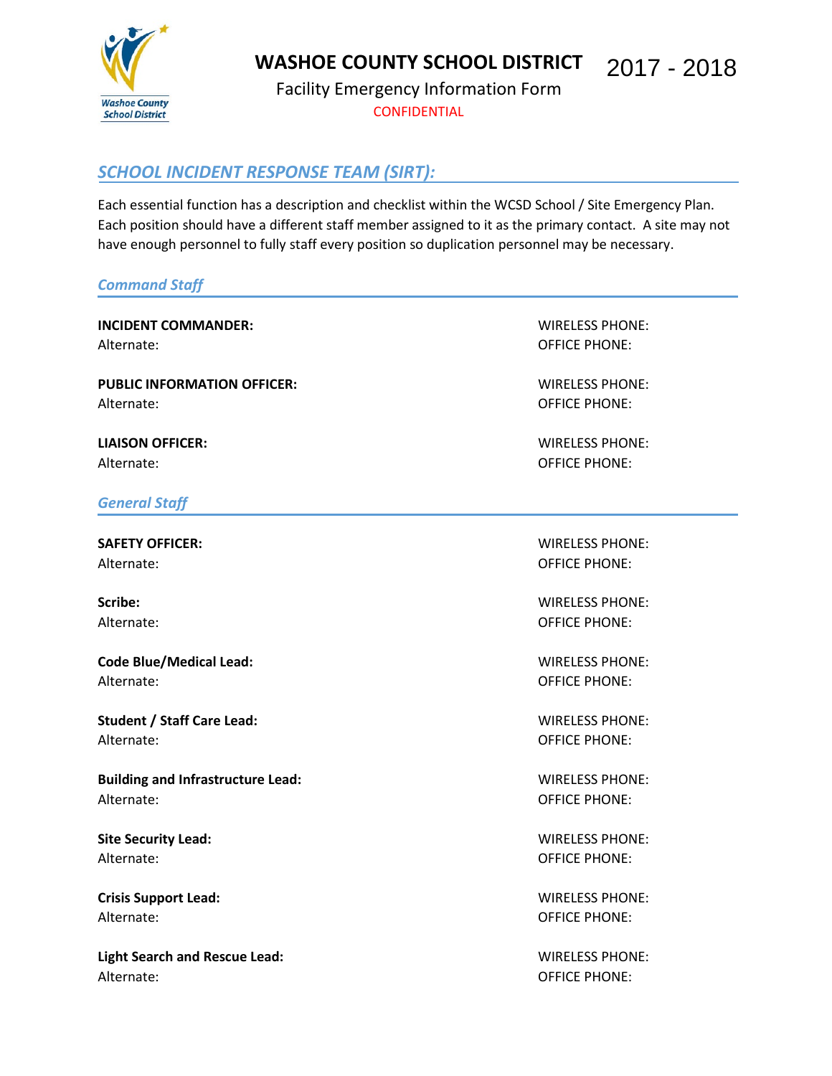

**WASHOE COUNTY SCHOOL DISTRICT**  2017 - 2018

Facility Emergency Information Form **CONFIDENTIAL** 

# *SCHOOL INCIDENT RESPONSE TEAM (SIRT):*

Each essential function has a description and checklist within the WCSD School / Site Emergency Plan. Each position should have a different staff member assigned to it as the primary contact. A site may not have enough personnel to fully staff every position so duplication personnel may be necessary.

### *Command Staff*

**INCIDENT COMMANDER:** WIRELESS PHONE: Alternate: OFFICE PHONE:

**PUBLIC INFORMATION OFFICER:** WIRELESS PHONE: Alternate: Contract Contract Contract Contract Contract Contract Contract Contract Contract Contract Contract Contract Contract Contract Contract Contract Contract Contract Contract Contract Contract Contract Contract Cont

**LIAISON OFFICER:** WIRELESS PHONE: Alternate: Contract Contract Contract Contract Contract Contract Contract Contract Contract Contract Contract Contract Contract Contract Contract Contract Contract Contract Contract Contract Contract Contract Contract Cont

### *General Staff*

Alternate: OFFICE PHONE:

**Code Blue/Medical Lead:** WIRELESS PHONE: Alternate: Contract Contract Contract Contract Contract Contract Contract Contract Contract Contract Contract Contract Contract Contract Contract Contract Contract Contract Contract Contract Contract Contract Contract Cont

**Student / Staff Care Lead:** WIRELESS PHONE: Alternate: OFFICE PHONE:

**Building and Infrastructure Lead:** WIRELESS PHONE: Alternate: Contract Contract Contract Contract Contract Contract Contract Contract Contract Contract Contract Contract Contract Contract Contract Contract Contract Contract Contract Contract Contract Contract Contract Cont

**Site Security Lead:** WIRELESS PHONE: Alternate: OFFICE PHONE:

**Crisis Support Lead:** WIRELESS PHONE: Alternate: Contract Contract Contract Contract Contract Contract Contract Contract Contract Contract Contract Contract Contract Contract Contract Contract Contract Contract Contract Contract Contract Contract Contract Cont

**Light Search and Rescue Lead:** WIRELESS PHONE: Alternate: OFFICE PHONE:

**SAFETY OFFICER:** WIRELESS PHONE:

**Scribe:** WIRELESS PHONE: Alternate: OFFICE PHONE: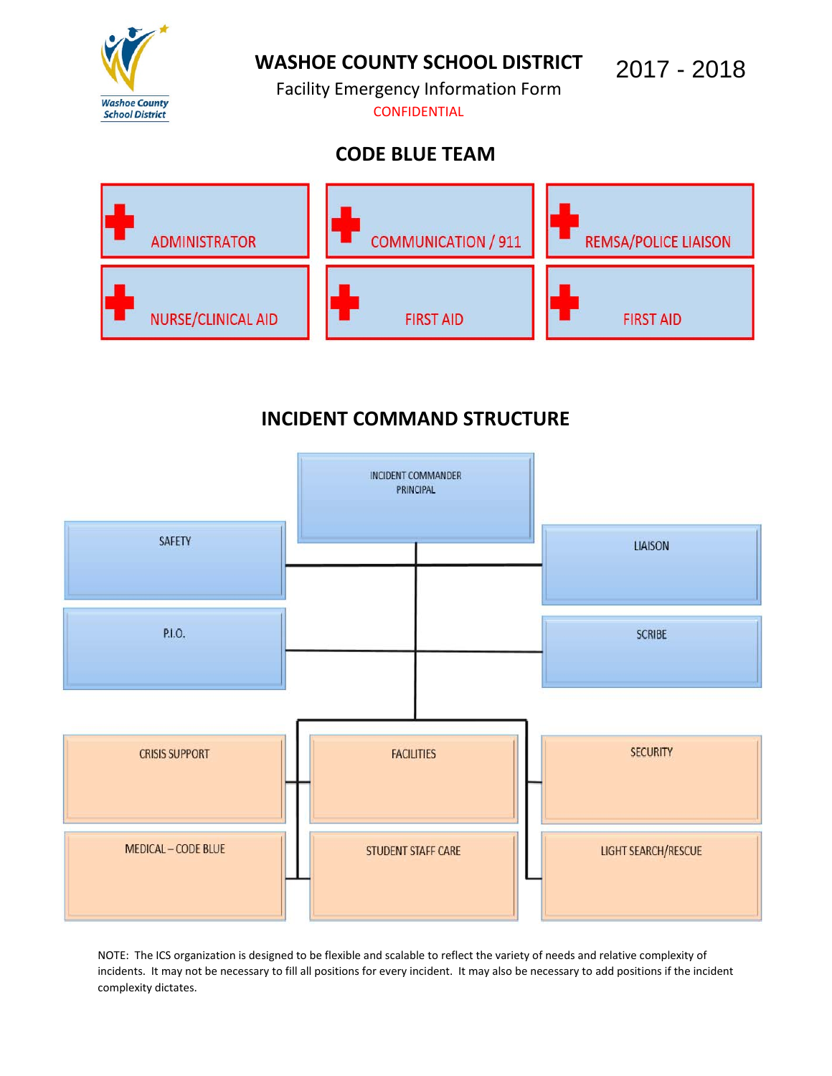

# **WASHOE COUNTY SCHOOL DISTRICT**

2017 - 2018

Facility Emergency Information Form **CONFIDENTIAL** 

# **CODE BLUE TEAM**



# **INCIDENT COMMAND STRUCTURE**



NOTE: The ICS organization is designed to be flexible and scalable to reflect the variety of needs and relative complexity of incidents. It may not be necessary to fill all positions for every incident. It may also be necessary to add positions if the incident complexity dictates.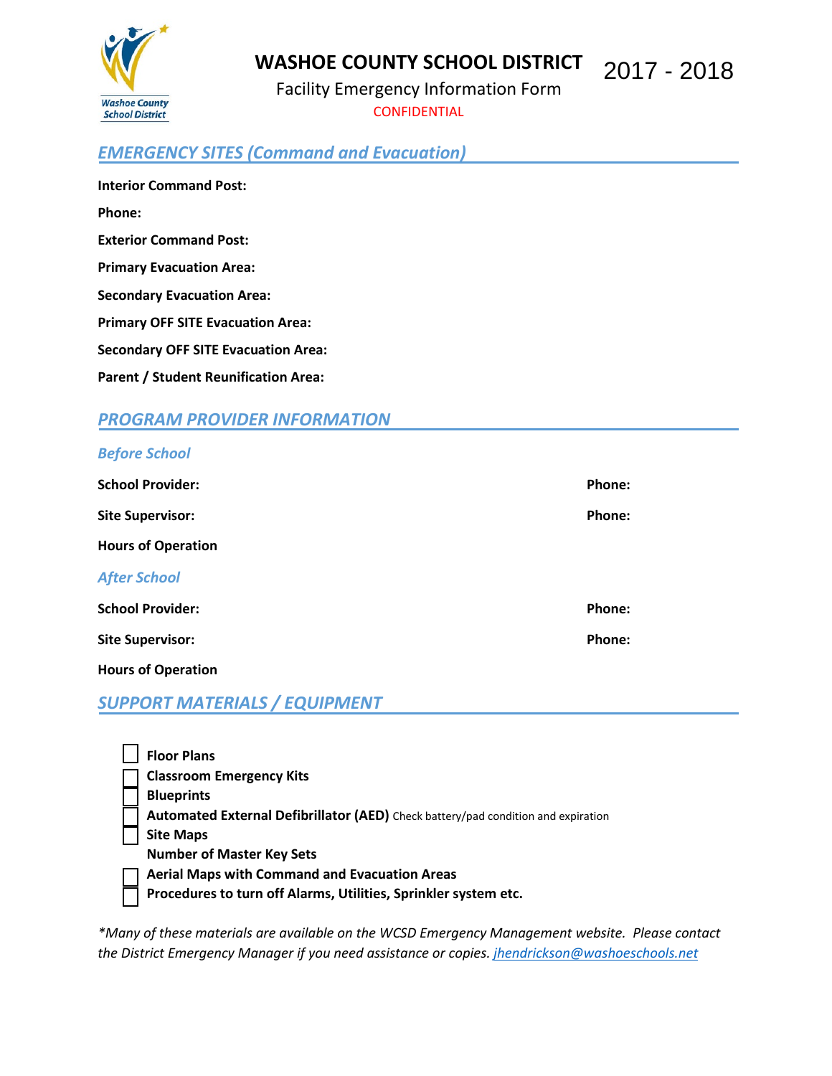

#### **WASHOE COUNTY SCHOOL DISTRICT**  2017 - 2018

Facility Emergency Information Form **CONFIDENTIAL** 

# *EMERGENCY SITES (Command and Evacuation)*

**Interior Command Post: Phone: Exterior Command Post: Primary Evacuation Area: Secondary Evacuation Area: Primary OFF SITE Evacuation Area: Secondary OFF SITE Evacuation Area: Parent / Student Reunification Area:**

### *PROGRAM PROVIDER INFORMATION*

### *Before School*

| <b>School Provider:</b>   | Phone: |
|---------------------------|--------|
| <b>Site Supervisor:</b>   | Phone: |
| <b>Hours of Operation</b> |        |
| <b>After School</b>       |        |
| <b>School Provider:</b>   | Phone: |
| <b>Site Supervisor:</b>   | Phone: |
| <b>Hours of Operation</b> |        |

## *SUPPORT MATERIALS / EQUIPMENT*

| <b>Floor Plans</b>                                                                |
|-----------------------------------------------------------------------------------|
| <b>Classroom Emergency Kits</b>                                                   |
| <b>Blueprints</b>                                                                 |
| Automated External Defibrillator (AED) Check battery/pad condition and expiration |
| <b>Site Maps</b>                                                                  |
| <b>Number of Master Key Sets</b>                                                  |
| <b>Aerial Maps with Command and Evacuation Areas</b>                              |
| Procedures to turn off Alarms, Utilities, Sprinkler system etc.                   |
|                                                                                   |

*\*Many of these materials are available on the WCSD Emergency Management website. Please contact the District Emergency Manager if you need assistance or copies. [jhendrickson@washoeschools.net](mailto:jhendrickson@washoeschools.net)*